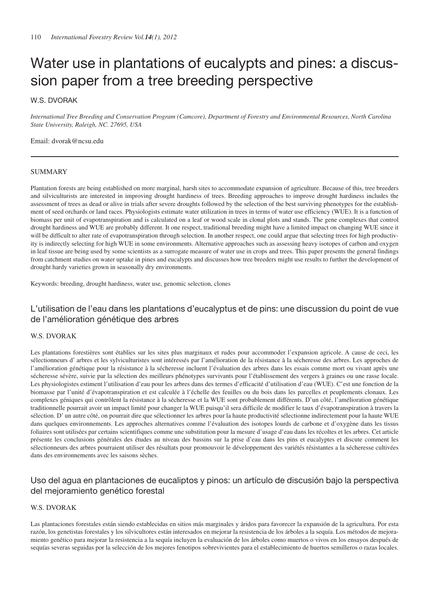# Water use in plantations of eucalypts and pines: a discussion paper from a tree breeding perspective

# W.S. DVORAK

International Tree Breeding and Conservation Program (Camcore), Department of Forestry and Environmental Resources, North Carolina State University, Raleigh, NC. 27695, USA

Email: dvorak@ncsu.edu

#### **SUMMARY**

Plantation forests are being established on more marginal, harsh sites to accommodate expansion of agriculture. Because of this, tree breeders and silviculturists are interested in improving drought hardiness of trees. Breeding approaches to improve drought hardiness includes the assessment of trees as dead or alive in trials after severe droughts followed by the selection of the best surviving phenotypes for the establishment of seed orchards or land races. Physiologists estimate water utilization in trees in terms of water use efficiency (WUE). It is a function of biomass per unit of evapotranspiration and is calculated on a leaf or wood scale in clonal plots and stands. The gene complexes that control drought hardiness and WUE are probably different. It one respect, traditional breeding might have a limited impact on changing WUE since it will be difficult to alter rate of evapotranspiration through selection. In another respect, one could argue that selecting trees for high productivity is indirectly selecting for high WUE in some environments. Alternative approaches such as assessing heavy isotopes of carbon and oxygen in leaf tissue are being used by some scientists as a surrogate measure of water use in crops and trees. This paper presents the general findings from catchment studies on water uptake in pines and eucalypts and discusses how tree breeders might use results to further the development of drought hardy varieties grown in seasonally dry environments.

Keywords: breeding, drought hardiness, water use, genomic selection, clones

# L'utilisation de l'eau dans les plantations d'eucalyptus et de pins: une discussion du point de vue de l'amélioration génétique des arbres

## **W.S. DVORAK**

Les plantations forestières sont établies sur les sites plus marginaux et rudes pour accommoder l'expansion agricole. A cause de ceci, les sélectionneurs d'arbres et les sylviculturistes sont intéressés par l'amélioration de la résistance à la sécheresse des arbres. Les approches de l'amélioration génétique pour la résistance à la sécheresse incluent l'évaluation des arbres dans les essais comme mort ou vivant après une sécheresse sévère, suivie par la sélection des meilleurs phénotypes survivants pour l'établissement des vergers à graines ou une rasse locale. Les physiologistes estiment l'utilisation d'eau pour les arbres dans des termes d'efficacité d'utilisation d'eau (WUE). C'est une fonction de la biomasse par l'unité d'évapotranspiration et est calculée à l'échelle des feuilles ou du bois dans les parcelles et peuplements clonaux. Les complexes géniques qui contrôlent la résistance à la sécheresse et la WUE sont probablement différents. D'un côté, l'amélioration génétique traditionnelle pourrait avoir un impact limité pour changer la WUE puisqu'il sera difficile de modifier le taux d'évapotranspiration à travers la sélection. D'un autre côté, on pourrait dire que sélectionner les arbres pour la haute productivité sélectionne indirectement pour la haute WUE dans quelques environmements. Les approches alternatives comme l'évaluation des isotopes lourds de carbone et d'oxygène dans les tissus foliaires sont utilisées par certains scientifiques comme une substitution pour la mesure d'usage d'eau dans les récoltes et les arbres. Cet article présente les conclusions générales des études au niveau des bassins sur la prise d'eau dans les pins et eucalyptes et discute comment les sélectionneurs des arbres pourraient utiliser des résultats pour promouvoir le développement des variétés résistantes a la sécheresse cultivées dans des environnements avec les saisons sèches.

# Uso del agua en plantaciones de eucaliptos y pinos: un artículo de discusión bajo la perspectiva del mejoramiento genético forestal

## **W.S. DVORAK**

Las plantaciones forestales están siendo establecidas en sitios más marginales y áridos para favorecer la expansión de la agricultura. Por esta razón, los genetistas forestales y los silvicultores están interesados en mejorar la resistencia de los árboles a la sequía. Los métodos de mejoramiento genético para mejorar la resistencia a la sequía incluyen la evaluación de los árboles como muertos o vivos en los ensayos después de sequías severas seguidas por la selección de los mejores fenotipos sobrevivientes para el establecimiento de huertos semilleros o razas locales.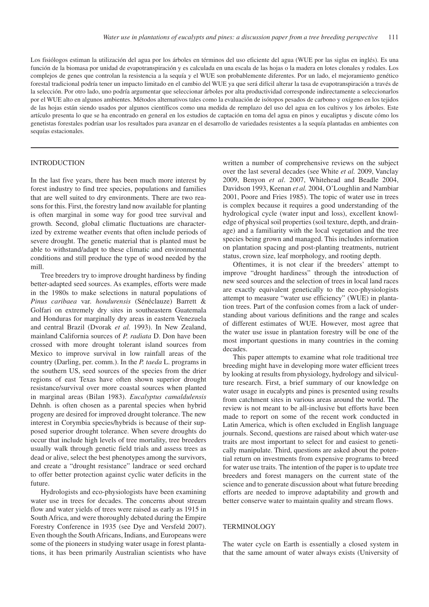Los fisiólogos estiman la utilización del agua por los árboles en términos del uso eficiente del agua (WUE por las siglas en inglés). Es una función de la biomasa por unidad de evapotranspiración y es calculada en una escala de las hojas o la madera en lotes clonales y rodales. Los complejos de genes que controlan la resistencia a la sequía y el WUE son probablemente diferentes. Por un lado, el mejoramiento genético forestal tradicional podría tener un impacto limitado en el cambio del WUE ya que será difícil alterar la tasa de evapotranspiración a través de la selección. Por otro lado, uno podría argumentar que seleccionar árboles por alta productividad corresponde indirectamente a seleccionarlos por el WUE alto en algunos ambientes. Métodos alternativos tales como la evaluación de isótopos pesados de carbono y oxígeno en los tejidos de las hojas están siendo usados por algunos científicos como una medida de remplazo del uso del agua en los cultivos y los árboles. Este artículo presenta lo que se ha encontrado en general en los estudios de captación en toma del agua en pinos y eucaliptus y discute cómo los genetistas forestales podrían usar los resultados para avanzar en el desarrollo de variedades resistentes a la sequía plantadas en ambientes con sequías estacionales.

#### **INTRODUCTION**

In the last five years, there has been much more interest by forest industry to find tree species, populations and families that are well suited to dry environments. There are two reasons for this. First, the forestry land now available for planting is often marginal in some way for good tree survival and growth. Second, global climatic fluctuations are characterized by extreme weather events that often include periods of severe drought. The genetic material that is planted must be able to withstand/adapt to these climatic and environmental conditions and still produce the type of wood needed by the mill.

Tree breeders try to improve drought hardiness by finding better-adapted seed sources. As examples, efforts were made in the 1980s to make selections in natural populations of Pinus caribaea var. hondurensis (Sénéclauze) Barrett & Golfari on extremely dry sites in southeastern Guatemala and Honduras for marginally dry areas in eastern Venezuela and central Brazil (Dvorak et al. 1993). In New Zealand, mainland California sources of P. radiata D. Don have been crossed with more drought tolerant island sources from Mexico to improve survival in low rainfall areas of the country (Darling, per. comm.). In the P. taeda L. programs in the southern US, seed sources of the species from the drier regions of east Texas have often shown superior drought resistance/survival over more coastal sources when planted in marginal areas (Bilan 1983). Eucalyptus camaldulensis Dehnh. is often chosen as a parental species when hybrid progeny are desired for improved drought tolerance. The new interest in Corymbia species/hybrids is because of their supposed superior drought tolerance. When severe droughts do occur that include high levels of tree mortality, tree breeders usually walk through genetic field trials and assess trees as dead or alive, select the best phenotypes among the survivors, and create a "drought resistance" landrace or seed orchard to offer better protection against cyclic water deficits in the future.

Hydrologists and eco-physiologists have been examining water use in trees for decades. The concerns about stream flow and water yields of trees were raised as early as 1915 in South Africa, and were thoroughly debated during the Empire Forestry Conference in 1935 (see Dye and Versfeld 2007). Even though the South Africans, Indians, and Europeans were some of the pioneers in studying water usage in forest plantations, it has been primarily Australian scientists who have

written a number of comprehensive reviews on the subject over the last several decades (see White et al. 2009, Vanclay 2009, Benyon et al. 2007, Whitehead and Beadle 2004, Davidson 1993, Keenan et al. 2004, O'Loughlin and Nambiar 2001, Poore and Fries 1985). The topic of water use in trees is complex because it requires a good understanding of the hydrological cycle (water input and loss), excellent knowledge of physical soil properties (soil texture, depth, and drainage) and a familiarity with the local vegetation and the tree species being grown and managed. This includes information on plantation spacing and post-planting treatments, nutrient status, crown size, leaf morphology, and rooting depth.

Oftentimes, it is not clear if the breeders' attempt to improve "drought hardiness" through the introduction of new seed sources and the selection of trees in local land races are exactly equivalent genetically to the eco-physiologists attempt to measure "water use efficiency" (WUE) in plantation trees. Part of the confusion comes from a lack of understanding about various definitions and the range and scales of different estimates of WUE. However, most agree that the water use issue in plantation forestry will be one of the most important questions in many countries in the coming decades.

This paper attempts to examine what role traditional tree breeding might have in developing more water efficient trees by looking at results from physiology, hydrology and silviculture research. First, a brief summary of our knowledge on water usage in eucalypts and pines is presented using results from catchment sites in various areas around the world. The review is not meant to be all-inclusive but efforts have been made to report on some of the recent work conducted in Latin America, which is often excluded in English language journals. Second, questions are raised about which water-use traits are most important to select for and easiest to genetically manipulate. Third, questions are asked about the potential return on investments from expensive programs to breed for water use traits. The intention of the paper is to update tree breeders and forest managers on the current state of the science and to generate discussion about what future breeding efforts are needed to improve adaptability and growth and better conserve water to maintain quality and stream flows.

#### **TERMINOLOGY**

The water cycle on Earth is essentially a closed system in that the same amount of water always exists (University of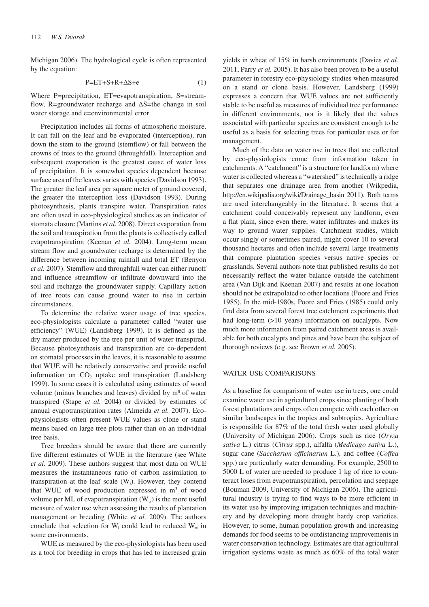Michigan 2006). The hydrological cycle is often represented by the equation:

$$
P = ET + S + R + \Delta S + e \tag{1}
$$

Where P=precipitation, ET=evapotranspiration, S=streamflow, R=groundwater recharge and  $\Delta S$ =the change in soil water storage and e=environmental error

Precipitation includes all forms of atmospheric moisture. It can fall on the leaf and be evaporated (interception), run down the stem to the ground (stemflow) or fall between the crowns of trees to the ground (throughfall). Interception and subsequent evaporation is the greatest cause of water loss of precipitation. It is somewhat species dependent because surface area of the leaves varies with species (Davidson 1993). The greater the leaf area per square meter of ground covered, the greater the interception loss (Davidson 1993). During photosynthesis, plants transpire water. Transpiration rates are often used in eco-physiological studies as an indicator of stomata closure (Martins et al. 2008). Direct evaporation from the soil and transpiration from the plants is collectively called evapotranspiration (Keenan et al. 2004). Long-term mean stream flow and groundwater recharge is determined by the difference between incoming rainfall and total ET (Benyon et al. 2007). Stemflow and throughfall water can either runoff and influence streamflow or infiltrate downward into the soil and recharge the groundwater supply. Capillary action of tree roots can cause ground water to rise in certain circumstances.

To determine the relative water usage of tree species, eco-physiologists calculate a parameter called "water use efficiency" (WUE) (Landsberg 1999). It is defined as the dry matter produced by the tree per unit of water transpired. Because photosynthesis and transpiration are co-dependent on stomatal processes in the leaves, it is reasonable to assume that WUE will be relatively conservative and provide useful information on  $CO<sub>2</sub>$  uptake and transpiration (Landsberg 1999). In some cases it is calculated using estimates of wood volume (minus branches and leaves) divided by m<sup>3</sup> of water transpired (Stape et al. 2004) or divided by estimates of annual evapotranspiration rates (Almeida et al. 2007). Ecophysiologists often present WUE values as clone or stand means based on large tree plots rather than on an individual tree basis.

Tree breeders should be aware that there are currently five different estimates of WUE in the literature (see White et al. 2009). These authors suggest that most data on WUE measures the instantaneous ratio of carbon assimilation to transpiration at the leaf scale  $(W_i)$ . However, they contend that WUE of wood production expressed in m<sup>3</sup> of wood volume per ML of evapotranspiration  $(W_w)$  is the more useful measure of water use when assessing the results of plantation management or breeding (White et al. 2009). The authors conclude that selection for  $W_i$  could lead to reduced  $W_w$  in some environments.

WUE as measured by the eco-physiologists has been used as a tool for breeding in crops that has led to increased grain yields in wheat of 15% in harsh environments (Davies et al. 2011, Parry et al. 2005). It has also been proven to be a useful parameter in forestry eco-physiology studies when measured on a stand or clone basis. However, Landsberg (1999) expresses a concern that WUE values are not sufficiently stable to be useful as measures of individual tree performance in different environments, nor is it likely that the values associated with particular species are consistent enough to be useful as a basis for selecting trees for particular uses or for management.

Much of the data on water use in trees that are collected by eco-physiologists come from information taken in catchments. A "catchment" is a structure (or landform) where water is collected whereas a "watershed" is technically a ridge that separates one drainage area from another (Wikpedia, http://en.wikipedia.org/wiki/Drainage\_basin 2011). Both terms are used interchangeably in the literature. It seems that a catchment could conceivably represent any landform, even a flat plain, since even there, water infiltrates and makes its way to ground water supplies. Catchment studies, which occur singly or sometimes paired, might cover 10 to several thousand hectares and often include several large treatments that compare plantation species versus native species or grasslands. Several authors note that published results do not necessarily reflect the water balance outside the catchment area (Van Dijk and Keenan 2007) and results at one location should not be extrapolated to other locations (Poore and Fries 1985). In the mid-1980s, Poore and Fries (1985) could only find data from several forest tree catchment experiments that had long-term (>10 years) information on eucalypts. Now much more information from paired catchment areas is available for both eucalypts and pines and have been the subject of thorough reviews (e.g. see Brown et al. 2005).

#### **WATER USE COMPARISONS**

As a baseline for comparison of water use in trees, one could examine water use in agricultural crops since planting of both forest plantations and crops often compete with each other on similar landscapes in the tropics and subtropics. Agriculture is responsible for 87% of the total fresh water used globally (University of Michigan 2006). Crops such as rice (Oryza sativa L.) citrus (Citrus spp.), alfalfa (Medicago sativa L.), sugar cane (Saccharum officinarum L.), and coffee (Coffea spp.) are particularly water demanding. For example, 2500 to 5000 L of water are needed to produce 1 kg of rice to counteract loses from evapotranspiration, percolation and seepage (Bouman 2009, University of Michigan 2006). The agricultural industry is trying to find ways to be more efficient in its water use by improving irrigation techniques and machinery and by developing more drought hardy crop varieties. However, to some, human population growth and increasing demands for food seems to be outdistancing improvements in water conservation technology. Estimates are that agricultural irrigation systems waste as much as 60% of the total water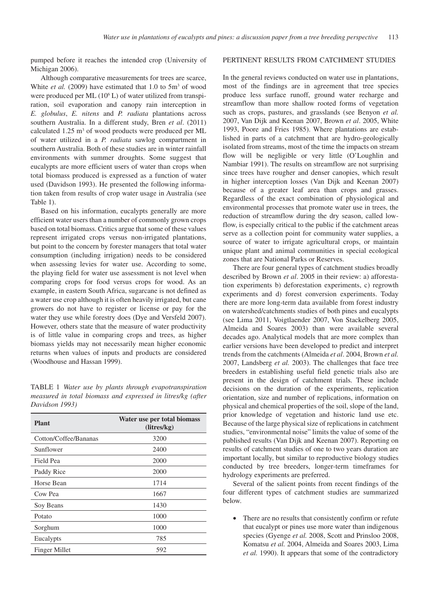pumped before it reaches the intended crop (University of Michigan 2006).

# Although comparative measurements for trees are scarce, White *et al.* (2009) have estimated that 1.0 to  $5m<sup>3</sup>$  of wood were produced per ML  $(10<sup>6</sup> L)$  of water utilized from transpiration, soil evaporation and canopy rain interception in E. globulus, E. nitens and P. radiata plantations across southern Australia. In a different study, Bren et al. (2011) calculated 1.25 m<sup>3</sup> of wood products were produced per ML of water utilized in a P. radiata sawlog compartment in southern Australia. Both of these studies are in winter rainfall environments with summer droughts. Some suggest that eucalypts are more efficient users of water than crops when total biomass produced is expressed as a function of water used (Davidson 1993). He presented the following information taken from results of crop water usage in Australia (see Table 1).

Based on his information, eucalypts generally are more efficient water users than a number of commonly grown crops based on total biomass. Critics argue that some of these values represent irrigated crops versus non-irrigated plantations, but point to the concern by forester managers that total water consumption (including irrigation) needs to be considered when assessing levies for water use. According to some, the playing field for water use assessment is not level when comparing crops for food versus crops for wood. As an example, in eastern South Africa, sugarcane is not defined as a water use crop although it is often heavily irrigated, but cane growers do not have to register or license or pay for the water they use while forestry does (Dye and Versfeld 2007). However, others state that the measure of water productivity is of little value in comparing crops and trees, as higher biomass yields may not necessarily mean higher economic returns when values of inputs and products are considered (Woodhouse and Hassan 1999).

TABLE 1 Water use by plants through evapotranspiration measured in total biomass and expressed in litres/kg (after Davidson 1993)

| <b>Plant</b>          | Water use per total biomass<br>(litres/kg) |
|-----------------------|--------------------------------------------|
| Cotton/Coffee/Bananas | 3200                                       |
| Sunflower             | 2400                                       |
| Field Pea             | 2000                                       |
| Paddy Rice            | 2000                                       |
| Horse Bean            | 1714                                       |
| Cow Pea               | 1667                                       |
| Soy Beans             | 1430                                       |
| Potato                | 1000                                       |
| Sorghum               | 1000                                       |
| Eucalypts             | 785                                        |
| <b>Finger Millet</b>  | 592                                        |

# PERTINENT RESULTS FROM CATCHMENT STUDIES

In the general reviews conducted on water use in plantations, most of the findings are in agreement that tree species produce less surface runoff, ground water recharge and streamflow than more shallow rooted forms of vegetation such as crops, pastures, and grasslands (see Benyon et al. 2007, Van Dijk and Keenan 2007, Brown et al. 2005, White 1993, Poore and Fries 1985). Where plantations are established in parts of a catchment that are hydro-geologically isolated from streams, most of the time the impacts on stream flow will be negligible or very little (O'Loughlin and Nambiar 1991). The results on streamflow are not surprising since trees have rougher and denser canopies, which result in higher interception losses (Van Dijk and Keenan 2007) because of a greater leaf area than crops and grasses. Regardless of the exact combination of physiological and environmental processes that promote water use in trees, the reduction of streamflow during the dry season, called lowflow, is especially critical to the public if the catchment areas serve as a collection point for community water supplies, a source of water to irrigate agricultural crops, or maintain unique plant and animal communities in special ecological zones that are National Parks or Reserves.

There are four general types of catchment studies broadly described by Brown et al. 2005 in their review: a) afforestation experiments b) deforestation experiments, c) regrowth experiments and d) forest conversion experiments. Today there are more long-term data available from forest industry on watershed/catchments studies of both pines and eucalypts (see Lima 2011, Voigtlaender 2007, Von Stackelberg 2005, Almeida and Soares 2003) than were available several decades ago. Analytical models that are more complex than earlier versions have been developed to predict and interpret trends from the catchments (Almeida et al. 2004, Brown et al. 2007, Landsberg et al. 2003). The challenges that face tree breeders in establishing useful field genetic trials also are present in the design of catchment trials. These include decisions on the duration of the experiments, replication orientation, size and number of replications, information on physical and chemical properties of the soil, slope of the land, prior knowledge of vegetation and historic land use etc. Because of the large physical size of replications in catchment studies, "environmental noise" limits the value of some of the published results (Van Dijk and Keenan 2007). Reporting on results of catchment studies of one to two years duration are important locally, but similar to reproductive biology studies conducted by tree breeders, longer-term timeframes for hydrology experiments are preferred.

Several of the salient points from recent findings of the four different types of catchment studies are summarized below.

There are no results that consistently confirm or refute that eucalypt or pines use more water than indigenous species (Gyenge et al. 2008, Scott and Prinsloo 2008, Komatsu et al. 2004, Almeida and Soares 2003, Lima et al. 1990). It appears that some of the contradictory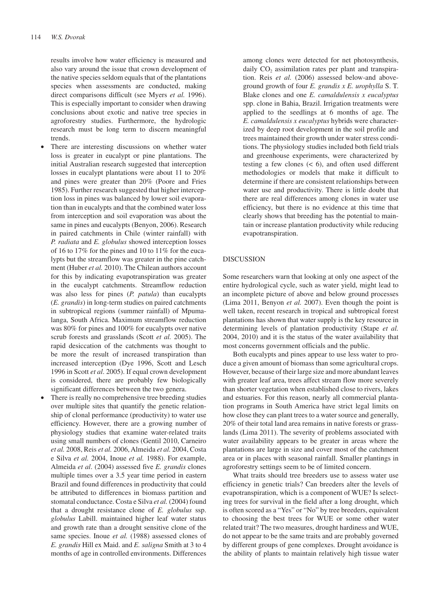results involve how water efficiency is measured and also vary around the issue that crown development of the native species seldom equals that of the plantations species when assessments are conducted, making direct comparisons difficult (see Myers et al. 1996). This is especially important to consider when drawing conclusions about exotic and native tree species in agroforestry studies. Furthermore, the hydrologic research must be long term to discern meaningful trends.

- There are interesting discussions on whether water loss is greater in eucalypt or pine plantations. The initial Australian research suggested that interception losses in eucalypt plantations were about 11 to 20% and pines were greater than 20% (Poore and Fries 1985). Further research suggested that higher interception loss in pines was balanced by lower soil evaporation than in eucalypts and that the combined water loss from interception and soil evaporation was about the same in pines and eucalypts (Benyon, 2006). Research in paired catchments in Chile (winter rainfall) with P. radiata and E. globulus showed interception losses of 16 to 17% for the pines and 10 to 11% for the eucalypts but the streamflow was greater in the pine catchment (Huber et al. 2010). The Chilean authors account for this by indicating evapotranspiration was greater in the eucalypt catchments. Streamflow reduction was also less for pines (P. patula) than eucalypts (*E. grandis*) in long-term studies on paired catchments in subtropical regions (summer rainfall) of Mpumalanga, South Africa. Maximum streamflow reduction was 80% for pines and 100% for eucalypts over native scrub forests and grasslands (Scott *et al.* 2005). The rapid desiccation of the catchments was thought to be more the result of increased transpiration than increased interception (Dye 1996, Scott and Lesch 1996 in Scott et al. 2005). If equal crown development is considered, there are probably few biologically significant differences between the two genera.
- There is really no comprehensive tree breeding studies over multiple sites that quantify the genetic relationship of clonal performance (productivity) to water use efficiency. However, there are a growing number of physiology studies that examine water-related traits using small numbers of clones (Gentil 2010, Carneiro et al. 2008, Reis et al. 2006, Almeida et al. 2004, Costa e Silva et al. 2004, Inoue et al. 1988). For example, Almeida et al. (2004) assessed five E. grandis clones multiple times over a 3.5 year time period in eastern Brazil and found differences in productivity that could be attributed to differences in biomass partition and stomatal conductance. Costa e Silva et al. (2004) found that a drought resistance clone of  $E$ . globulus ssp. *globulus* Labill. maintained higher leaf water status and growth rate than a drought sensitive clone of the same species. Inoue et al. (1988) assessed clones of E. grandis Hill ex Maid. and E. saligna Smith at 3 to 4 months of age in controlled environments. Differences

among clones were detected for net photosynthesis, daily  $CO<sub>2</sub>$  assimilation rates per plant and transpiration. Reis et al. (2006) assessed below-and aboveground growth of four  $E$ . grandis  $x E$ . urophylla S. T. Blake clones and one  $E$ . *camaldulensis*  $x$  *eucalyptus* spp. clone in Bahia, Brazil. Irrigation treatments were applied to the seedlings at 6 months of age. The E. camaldulensis x eucalyptus hybrids were characterized by deep root development in the soil profile and trees maintained their growth under water stress conditions. The physiology studies included both field trials and greenhouse experiments, were characterized by testing a few clones  $(< 6)$ , and often used different methodologies or models that make it difficult to determine if there are consistent relationships between water use and productivity. There is little doubt that there are real differences among clones in water use efficiency, but there is no evidence at this time that clearly shows that breeding has the potential to maintain or increase plantation productivity while reducing evapotranspiration.

#### **DISCUSSION**

Some researchers warn that looking at only one aspect of the entire hydrological cycle, such as water yield, might lead to an incomplete picture of above and below ground processes (Lima 2011, Benyon et al. 2007). Even though the point is well taken, recent research in tropical and subtropical forest plantations has shown that water supply is the key resource in determining levels of plantation productivity (Stape et al. 2004, 2010) and it is the status of the water availability that most concerns government officials and the public.

Both eucalypts and pines appear to use less water to produce a given amount of biomass than some agricultural crops. However, because of their large size and more abundant leaves with greater leaf area, trees affect stream flow more severely than shorter vegetation when established close to rivers, lakes and estuaries. For this reason, nearly all commercial plantation programs in South America have strict legal limits on how close they can plant trees to a water source and generally, 20% of their total land area remains in native forests or grasslands (Lima 2011). The severity of problems associated with water availability appears to be greater in areas where the plantations are large in size and cover most of the catchment area or in places with seasonal rainfall. Smaller plantings in agroforestry settings seem to be of limited concern.

What traits should tree breeders use to assess water use efficiency in genetic trials? Can breeders alter the levels of evapotranspiration, which is a component of WUE? Is selecting trees for survival in the field after a long drought, which is often scored as a "Yes" or "No" by tree breeders, equivalent to choosing the best trees for WUE or some other water related trait? The two measures, drought hardiness and WUE, do not appear to be the same traits and are probably governed by different groups of gene complexes. Drought avoidance is the ability of plants to maintain relatively high tissue water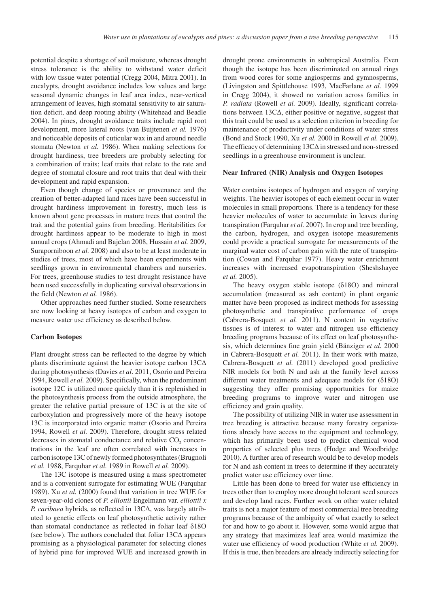potential despite a shortage of soil moisture, whereas drought stress tolerance is the ability to withstand water deficit with low tissue water potential (Cregg 2004, Mitra 2001). In eucalypts, drought avoidance includes low values and large seasonal dynamic changes in leaf area index, near-vertical arrangement of leaves, high stomatal sensitivity to air saturation deficit, and deep rooting ability (Whitehead and Beadle 2004). In pines, drought avoidance traits include rapid root development, more lateral roots (van Buijtenen et al. 1976) and noticeable deposits of cuticular wax in and around needle stomata (Newton et al. 1986). When making selections for drought hardiness, tree breeders are probably selecting for a combination of traits; leaf traits that relate to the rate and degree of stomatal closure and root traits that deal with their development and rapid expansion.

Even though change of species or provenance and the creation of better-adapted land races have been successful in drought hardiness improvement in forestry, much less is known about gene processes in mature trees that control the trait and the potential gains from breeding. Heritabilities for drought hardiness appear to be moderate to high in most annual crops (Ahmadi and Bajelan 2008, Hussain et al. 2009, Suraporniboon *et al.* 2008) and also to be at least moderate in studies of trees, most of which have been experiments with seedlings grown in environmental chambers and nurseries. For trees, greenhouse studies to test drought resistance have been used successfully in duplicating survival observations in the field (Newton et al. 1986).

Other approaches need further studied. Some researchers are now looking at heavy isotopes of carbon and oxygen to measure water use efficiency as described below.

#### **Carbon Isotopes**

Plant drought stress can be reflected to the degree by which plants discriminate against the heavier isotope carbon  $13C\Delta$ during photosynthesis (Davies et al. 2011, Osorio and Pereira 1994, Rowell et al. 2009). Specifically, when the predominant isotope 12C is utilized more quickly than it is replenished in the photosynthesis process from the outside atmosphere, the greater the relative partial pressure of 13C is at the site of carboxylation and progressively more of the heavy isotope 13C is incorporated into organic matter (Osorio and Pereira 1994, Rowell et al. 2009). Therefore, drought stress related decreases in stomatal conductance and relative CO<sub>2</sub> concentrations in the leaf are often correlated with increases in carbon isotope 13C of newly formed photosynthates (Brugnoli et al. 1988, Farquhar et al. 1989 in Rowell et al. 2009).

The 13C isotope is measured using a mass spectrometer and is a convenient surrogate for estimating WUE (Farquhar 1989). Xu et al. (2000) found that variation in tree WUE for seven-year-old clones of P. elliottii Engelmann var. elliottii x P. caribaea hybrids, as reflected in 13C $\Delta$ , was largely attributed to genetic effects on leaf photosynthetic activity rather than stomatal conductance as reflected in foliar leaf  $\delta$ 180 (see below). The authors concluded that foliar  $13C\Delta$  appears promising as a physiological parameter for selecting clones of hybrid pine for improved WUE and increased growth in

drought prone environments in subtropical Australia. Even though the isotope has been discriminated on annual rings from wood cores for some angiosperms and gymnosperms, (Livingston and Spittlehouse 1993, MacFarlane et al. 1999 in Cregg 2004), it showed no variation across families in P. radiata (Rowell et al. 2009). Ideally, significant correlations between  $13C\Delta$ , either positive or negative, suggest that this trait could be used as a selection criterion in breeding for maintenance of productivity under conditions of water stress (Bond and Stock 1990, Xu et al. 2000 in Rowell et al. 2009). The efficacy of determining  $13C\Delta$  in stressed and non-stressed seedlings in a greenhouse environment is unclear.

#### Near Infrared (NIR) Analysis and Oxygen Isotopes

Water contains isotopes of hydrogen and oxygen of varying weights. The heavier isotopes of each element occur in water molecules in small proportions. There is a tendency for these heavier molecules of water to accumulate in leaves during transpiration (Farquhar et al. 2007). In crop and tree breeding, the carbon, hydrogen, and oxygen isotope measurements could provide a practical surrogate for measurements of the marginal water cost of carbon gain with the rate of transpiration (Cowan and Farquhar 1977). Heavy water enrichment increases with increased evapotranspiration (Sheshshayee *et al.* 2005).

The heavy oxygen stable isotope  $(\delta18O)$  and mineral accumulation (measured as ash content) in plant organic matter have been proposed as indirect methods for assessing photosynthetic and transpirative performance of crops (Cabrera-Bosquett et al. 2011). N content in vegetative tissues is of interest to water and nitrogen use efficiency breeding programs because of its effect on leaf photosynthesis, which determines fine grain yield (Bänziger et al. 2000 in Cabrera-Bosquett et al. 2011). In their work with maize, Cabrera-Bosquett et al. (2011) developed good predictive NIR models for both N and ash at the family level across different water treatments and adequate models for  $(\delta18O)$ suggesting they offer promising opportunities for maize breeding programs to improve water and nitrogen use efficiency and grain quality.

The possibility of utilizing NIR in water use assessment in tree breeding is attractive because many forestry organizations already have access to the equipment and technology, which has primarily been used to predict chemical wood properties of selected plus trees (Hodge and Woodbridge 2010). A further area of research would be to develop models for N and ash content in trees to determine if they accurately predict water use efficiency over time.

Little has been done to breed for water use efficiency in trees other than to employ more drought tolerant seed sources and develop land races. Further work on other water related traits is not a major feature of most commercial tree breeding programs because of the ambiguity of what exactly to select for and how to go about it. However, some would argue that any strategy that maximizes leaf area would maximize the water use efficiency of wood production (White et al. 2009). If this is true, then breeders are already indirectly selecting for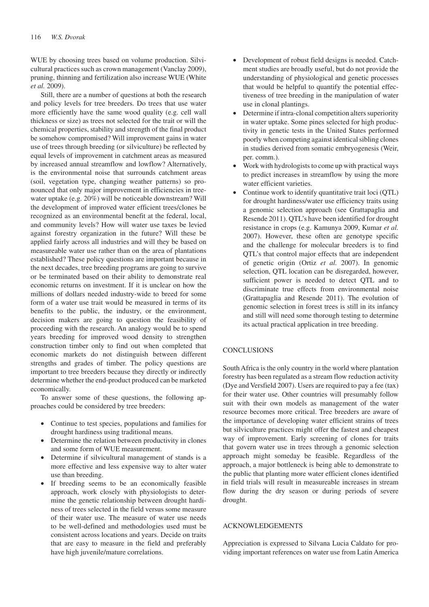WUE by choosing trees based on volume production. Silvicultural practices such as crown management (Vanclay 2009), pruning, thinning and fertilization also increase WUE (White et al. 2009).

Still, there are a number of questions at both the research and policy levels for tree breeders. Do trees that use water more efficiently have the same wood quality (e.g. cell wall thickness or size) as trees not selected for the trait or will the chemical properties, stability and strength of the final product be somehow compromised? Will improvement gains in water use of trees through breeding (or silviculture) be reflected by equal levels of improvement in catchment areas as measured by increased annual streamflow and lowflow? Alternatively, is the environmental noise that surrounds catchment areas (soil, vegetation type, changing weather patterns) so pronounced that only major improvement in efficiencies in treewater uptake (e.g. 20%) will be noticeable downstream? Will the development of improved water efficient trees/clones be recognized as an environmental benefit at the federal, local, and community levels? How will water use taxes be levied against forestry organization in the future? Will these be applied fairly across all industries and will they be based on measureable water use rather than on the area of plantations established? These policy questions are important because in the next decades, tree breeding programs are going to survive or be terminated based on their ability to demonstrate real economic returns on investment. If it is unclear on how the millions of dollars needed industry-wide to breed for some form of a water use trait would be measured in terms of its benefits to the public, the industry, or the environment, decision makers are going to question the feasibility of proceeding with the research. An analogy would be to spend years breeding for improved wood density to strengthen construction timber only to find out when completed that economic markets do not distinguish between different strengths and grades of timber. The policy questions are important to tree breeders because they directly or indirectly determine whether the end-product produced can be marketed economically.

To answer some of these questions, the following approaches could be considered by tree breeders:

- Continue to test species, populations and families for drought hardiness using traditional means.
- Determine the relation between productivity in clones and some form of WUE measurement.
- Determine if silvicultural management of stands is a more effective and less expensive way to alter water use than breeding.
- If breeding seems to be an economically feasible approach, work closely with physiologists to determine the genetic relationship between drought hardiness of trees selected in the field versus some measure of their water use. The measure of water use needs to be well-defined and methodologies used must be consistent across locations and years. Decide on traits that are easy to measure in the field and preferably have high juvenile/mature correlations.
- Development of robust field designs is needed. Catchment studies are broadly useful, but do not provide the understanding of physiological and genetic processes that would be helpful to quantify the potential effectiveness of tree breeding in the manipulation of water use in clonal plantings.
- Determine if intra-clonal competition alters superiority in water uptake. Some pines selected for high productivity in genetic tests in the United States performed poorly when competing against identical sibling clones in studies derived from somatic embryogenesis (Weir, per. comm.).
- Work with hydrologists to come up with practical ways to predict increases in streamflow by using the more water efficient varieties.
- Continue work to identify quantitative trait loci (QTL) for drought hardiness/water use efficiency traits using a genomic selection approach (see Grattapaglia and Resende 2011). QTL's have been identified for drought resistance in crops (e.g. Kamunya 2009, Kumar et al. 2007). However, these often are genotype specific and the challenge for molecular breeders is to find QTL's that control major effects that are independent of genetic origin (Ortiz et al. 2007). In genomic selection, QTL location can be disregarded, however, sufficient power is needed to detect QTL and to discriminate true effects from environmental noise (Grattapaglia and Resende 2011). The evolution of genomic selection in forest trees is still in its infancy and still will need some thorough testing to determine its actual practical application in tree breeding.

## **CONCLUSIONS**

South Africa is the only country in the world where plantation forestry has been regulated as a stream flow reduction activity (Dye and Versfield 2007). Users are required to pay a fee (tax) for their water use. Other countries will presumably follow suit with their own models as management of the water resource becomes more critical. Tree breeders are aware of the importance of developing water efficient strains of trees but silviculture practices might offer the fastest and cheapest way of improvement. Early screening of clones for traits that govern water use in trees through a genomic selection approach might someday be feasible. Regardless of the approach, a major bottleneck is being able to demonstrate to the public that planting more water efficient clones identified in field trials will result in measureable increases in stream flow during the dry season or during periods of severe drought.

#### **ACKNOWLEDGEMENTS**

Appreciation is expressed to Silvana Lucia Caldato for providing important references on water use from Latin America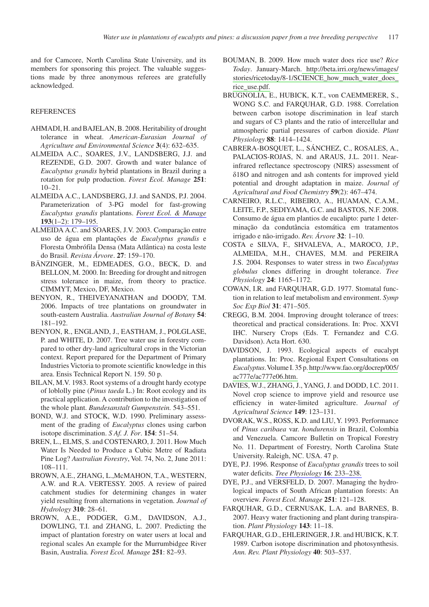and for Camcore, North Carolina State University, and its members for sponsoring this project. The valuable suggestions made by three anonymous referees are gratefully acknowledged.

## **REFERENCES**

- AHMADI, H. and BAJELAN, B. 2008. Heritability of drought tolerance in wheat. American-Eurasian Journal of Agriculture and Environmental Science 3(4): 632-635.
- ALMEIDA A.C., SOARES, J.V., LANDSBERG, J.J. and REZENDE, G.D. 2007. Growth and water balance of Eucalyptus grandis hybrid plantations in Brazil during a rotation for pulp production. Forest Ecol. Manage 251:  $10 - 21$ .
- ALMEIDA A.C., LANDSBERG, J.J. and SANDS, P.J. 2004. Parameterization of 3-PG model for fast-growing Eucalyptus grandis plantations. Forest Ecol. & Manage  $193(1-2): 179-195.$
- ALMEIDA A.C. and SOARES, J.V. 2003. Comparação entre uso de água em plantações de Eucalyptus grandis e Floresta Ombrófila Densa (Mata Atlântica) na costa leste do Brasil. Revista Árvore. 27: 159–170.
- BÄNZINGER, M., EDMEADES, G.O., BECK, D. and BELLON, M. 2000. In: Breeding for drought and nitrogen stress tolerance in maize, from theory to practice. CIMMYT, Mexico, DF, Mexico.
- BENYON, R., THEIVEYANATHAN and DOODY, T.M. 2006. Impacts of tree plantations on groundwater in south-eastern Australia. Australian Journal of Botany 54:  $181 - 192.$
- BENYON, R., ENGLAND, J., EASTHAM, J., POLGLASE, P. and WHITE, D. 2007. Tree water use in forestry compared to other dry-land agricultural crops in the Victorian context. Report prepared for the Department of Primary Industries Victoria to promote scientific knowledge in this area. Ensis Technical Report N. 159. 50 p.
- BILAN, M.V. 1983. Root systems of a drought hardy ecotype of loblolly pine (*Pinus taeda* L.) In: Root ecology and its practical application. A contribution to the investigation of the whole plant. Bundesanstalt Gumpenstein. 543-551.
- BOND, W.J. and STOCK, W.D. 1990. Preliminary assessment of the grading of *Eucalyptus* clones using carbon isotope discrimination. S Af. J. For. 154: 51-54.
- BREN, L., ELMS, S. and COSTENARO, J. 2011. How Much Water Is Needed to Produce a Cubic Metre of Radiata Pine Log? Australian Forestry, Vol. 74, No. 2, June 2011:  $108 - 111.$
- BROWN, A.E., ZHANG, L., McMAHON, T.A., WESTERN, A.W. and R.A. VERTESSY. 2005. A review of paired catchment studies for determining changes in water yield resulting from alternations in vegetation. Journal of Hydrology 310: 28-61.
- BROWN, A.E., PODGER, G.M., DAVIDSON, A.J., DOWLING, T.I. and ZHANG, L. 2007. Predicting the impact of plantation forestry on water users at local and regional scales An example for the Murrumbidgee River Basin, Australia. Forest Ecol. Manage 251: 82-93.
- BOUMAN, B. 2009. How much water does rice use? Rice Today. January-March. http://beta.irri.org/news/images/ stories/ricetoday/8-1/SCIENCE how much water does rice\_use.pdf.
- BRUGNOLIA, E., HUBICK, K.T., von CAEMMERER, S., WONG S.C. and FARQUHAR, G.D. 1988. Correlation between carbon isotope discrimination in leaf starch and sugars of C3 plants and the ratio of intercellular and atmospheric partial pressures of carbon dioxide. Plant Physiology 88: 1414-1424.
- CABRERA-BOSQUET, L., SÁNCHEZ, C., ROSALES, A., PALACIOS-ROJAS, N. and ARAUS, J.L. 2011. Nearinfrared reflectance spectroscopy (NIRS) assessment of 818O and nitrogen and ash contents for improved yield potential and drought adaptation in maize. Journal of Agricultural and Food Chemistry 59(2): 467-474.
- CARNEIRO, R.L.C., RIBEIRO, A., HUAMAN, C.A.M., LEITE, F.P., SEDIYAMA, G.C. and BASTOS, N.F. 2008. Consumo de água em plantios de eucalipto: parte 1 determinação da condutância estomática em tratamentos irrigado e não-irrigado. Rev. Árvore 32: 1–10.
- COSTA e SILVA, F., SHVALEVA, A., MAROCO, J.P., ALMEIDA, M.H., CHAVES, M.M. and PEREIRA J.S. 2004. Responses to water stress in two Eucalyptus globulus clones differing in drought tolerance. Tree Physiology 24: 1165-1172.
- COWAN, I.R. and FARQUHAR, G.D. 1977. Stomatal function in relation to leaf metabolism and environment. Symp Soc Exp Biol 31: 471-505.
- CREGG, B.M. 2004. Improving drought tolerance of trees: theoretical and practical considerations. In: Proc. XXVI IHC. Nursery Crops (Eds. T. Fernandez and C.G. Davidson). Acta Hort. 630.
- DAVIDSON, J. 1993. Ecological aspects of eucalypt plantations. In: Proc. Regional Expert Consultations on Eucalyptus. Volume I. 35 p. http://www.fao.org/docrep/005/ ac777e/ac777e06.htm.
- DAVIES, W.J., ZHANG, J., YANG, J. and DODD, I.C. 2011. Novel crop science to improve yield and resource use efficiency in water-limited agriculture. Journal of Agricultural Science 149: 123-131.
- DVORAK, W.S., ROSS, K.D. and LIU, Y. 1993. Performance of Pinus caribaea var. hondurensis in Brazil, Colombia and Venezuela. Camcore Bulletin on Tropical Forestry No. 11. Department of Forestry, North Carolina State University. Raleigh, NC. USA. 47 p.
- DYE, P.J. 1996. Response of *Eucalyptus grandis* trees to soil water deficits. Tree Physiology 16: 233–238.
- DYE, P.J., and VERSFELD, D. 2007. Managing the hydrological impacts of South African plantation forests: An overview. Forest Ecol. Manage 251: 121-128.
- FARQUHAR, G.D., CERNUSAK, L.A. and BARNES, B. 2007. Heavy water fractioning and plant during transpiration. Plant Physiology 143: 11-18.
- FARQUHAR, G.D., EHLERINGER, J.R. and HUBICK, K.T. 1989. Carbon isotope discrimination and photosynthesis. Ann. Rev. Plant Physiology 40: 503-537.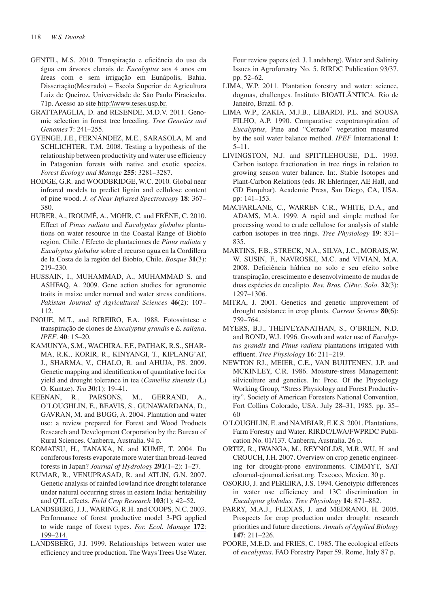- GENTIL, M.S. 2010. Transpiração e eficiência do uso da água em árvores clonais de Eucalyptus aos 4 anos em áreas com e sem irrigação em Eunápolis, Bahia. Dissertação(Mestrado) - Escola Superior de Agricultura Luiz de Queiroz. Universidade de São Paulo Piracicaba. 71p. Acesso ao site http://www.teses.usp.br.
- GRATTAPAGLIA, D. and RESENDE, M.D.V. 2011. Genomic selection in forest tree breeding. Tree Genetics and Genomes 7: 241-255.
- GYENGE, J.E., FERNÁNDEZ, M.E., SARASOLA, M. and SCHLICHTER, T.M. 2008. Testing a hypothesis of the relationship between productivity and water use efficiency in Patagonian forests with native and exotic species. Forest Ecology and Manage 255: 3281-3287.
- HODGE, G.R. and WOODBRIDGE, W.C. 2010. Global near infrared models to predict lignin and cellulose content of pine wood. J. of Near Infrared Spectroscopy 18: 367-380.
- HUBER, A., IROUMÉ, A., MOHR, C. and FRÊNE, C. 2010. Effect of Pinus radiata and Eucalyptus globulus plantations on water resource in the Coastal Range of Biobío region, Chile. / Efecto de plantaciones de Pinus radiata y Eucalyptus globulus sobre el recurso agua en la Cordillera de la Costa de la región del Biobío, Chile. Bosque 31(3): 219–230.
- HUSSAIN, I., MUHAMMAD, A., MUHAMMAD S. and ASHFAQ, A. 2009. Gene action studies for agronomic traits in maize under normal and water stress conditions. Pakistan Journal of Agricultural Sciences 46(2): 107-112.
- INOUE, M.T., and RIBEIRO, F.A. 1988. Fotossíntese e transpiração de clones de Eucalyptus grandis e E. saligna. IPEF. 40: 15-20.
- KAMUNYA, S.M., WACHIRA, F.F., PATHAK, R.S., SHAR-MA, R.K., KORIR, R., KINYANGI, T., KIPLANG'AT, J., SHARMA, V., CHALO, R. and AHUJA, PS. 2009. Genetic mapping and identification of quantitative loci for yield and drought tolerance in tea (Camellia sinensis (L) O. Kuntze). Tea 30(1): 19-41.
- KEENAN, R., PARSONS, M., GERRAND, A., O'LOUGHLIN, E., BEAVIS, S., GUNAWARDANA, D., GAVRAN, M. and BUGG, A. 2004. Plantation and water use: a review prepared for Forest and Wood Products Research and Development Corporation by the Bureau of Rural Sciences. Canberra, Australia. 94 p.
- KOMATSU, H., TANAKA, N. and KUME, T. 2004. Do coniferous forests evaporate more water than broad-leaved forests in Japan? Journal of Hydrology 291(1-2): 1-27.
- KUMAR, R., VENUPRASAD, R. and ATLIN, G.N. 2007. Genetic analysis of rainfed lowland rice drought tolerance under natural occurring stress in eastern India: heritability and QTL effects. Field Crop Research 103(1): 42–52.
- LANDSBERG, J.J., WARING, R.H. and COOPS, N.C. 2003. Performance of forest productive model 3-PG applied to wide range of forest types. For. Ecol. Manage 172: 199-214.
- LANDSBERG, J.J. 1999. Relationships between water use efficiency and tree production. The Ways Trees Use Water.

Four review papers (ed. J. Landsberg). Water and Salinity Issues in Agroforestry No. 5. RIRDC Publication 93/37. pp. 52-62.

- LIMA, W.P. 2011. Plantation forestry and water: science, dogmas, challenges. Instituto BIOATLANTICA. Rio de Janeiro, Brazil. 65 p.
- LIMA W.P., ZAKIA, M.J.B., LIBARDI, P.L. and SOUSA FILHO, A.P. 1990. Comparative evapotranspiration of Eucalyptus, Pine and "Cerrado" vegetation measured by the soil water balance method. IPEF International 1:  $5 - 11$ .
- LIVINGSTON, N.J. and SPITTLEHOUSE, D.L. 1993. Carbon isotope fractionation in tree rings in relation to growing season water balance. In:. Stable Isotopes and Plant-Carbon Relations (eds. JR Ehleringer, AE Hall, and GD Farquhar). Academic Press, San Diego, CA, USA. pp: 141-153.
- MACFARLANE, C., WARREN C.R., WHITE, D.A., and ADAMS, M.A. 1999. A rapid and simple method for processing wood to crude cellulose for analysis of stable carbon isotopes in tree rings. Tree Physiology 19: 831-835.
- MARTINS, F.B., STRECK, N.A., SILVA, J.C., MORAIS, W. W, SUSIN, F., NAVROSKI, M.C. and VIVIAN, M.A. 2008. Deficiência hídrica no solo e seu efeito sobre transpiração, crescimento e desenvolvimento de mudas de duas espécies de eucalipto. Rev. Bras. Ciênc. Solo. 32(3): 1297-1306.
- MITRA, J. 2001. Genetics and genetic improvement of drought resistance in crop plants. Current Science 80(6): 759-764.
- MYERS, B.J., THEIVEYANATHAN, S., O'BRIEN, N.D. and BOND, W.J. 1996. Growth and water use of *Eucalyp*tus grandis and Pinus radiata plantations irrigated with effluent. Tree Physiology 16: 211-219.
- NEWTON RJ., MEIER, C.E., VAN BUIJTENEN, J.P. and MCKINLEY, C.R. 1986. Moisture-stress Management: silviculture and genetics. In: Proc. Of the Physiology Working Group, "Stress Physiology and Forest Productivity". Society of American Foresters National Convention, Fort Collins Colorado, USA. July 28-31, 1985. pp. 35-60
- O'LOUGHLIN, E. and NAMBIAR, E.K.S. 2001. Plantations, Farm Forestry and Water. RIRDC/LWA/FWPRDC Publication No. 01/137. Canberra, Australia. 26 p.
- ORTIZ, R., IWANGA, M., REYNOLDS, M.R., WU, H. and CROUCH, J.H. 2007. Overview on crop genetic engineering for drought-prone environments. CIMMYT, SAT eJournal-ejournal.icrisat.org. Texcoco, Mexico. 30 p.
- OSORIO, J. and PEREIRA, J.S. 1994. Genotypic differences in water use efficiency and 13C discrimination in Eucalyptus globulus. Tree Physiology 14: 871-882.
- PARRY, M.A.J., FLEXAS, J. and MEDRANO, H. 2005. Prospects for crop production under drought: research priorities and future directions. Annals of Applied Biology 147: 211-226.
- POORE, M.E.D. and FRIES, C. 1985. The ecological effects of eucalyptus. FAO Forestry Paper 59. Rome, Italy 87 p.